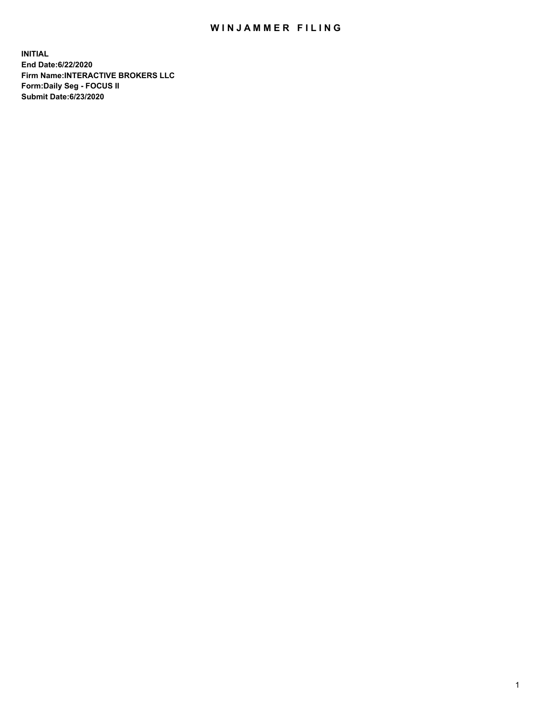## WIN JAMMER FILING

**INITIAL End Date:6/22/2020 Firm Name:INTERACTIVE BROKERS LLC Form:Daily Seg - FOCUS II Submit Date:6/23/2020**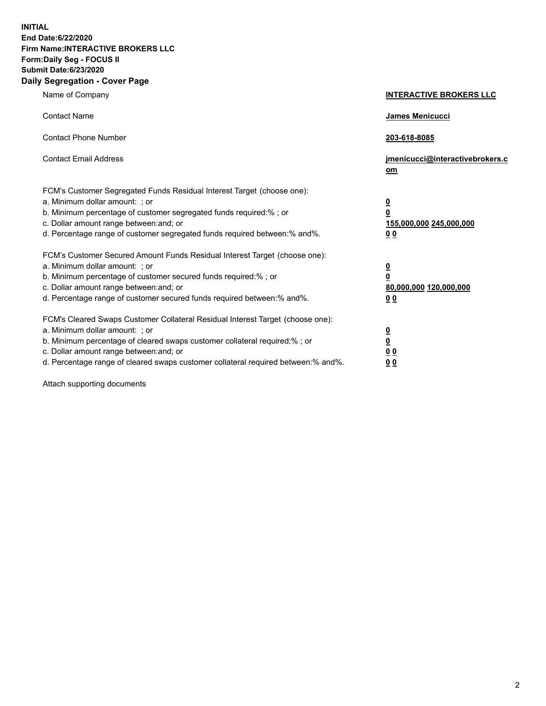**INITIAL End Date:6/22/2020 Firm Name:INTERACTIVE BROKERS LLC Form:Daily Seg - FOCUS II Submit Date:6/23/2020 Daily Segregation - Cover Page**

| Name of Company                                                                                                                                                                                                                                                                                                                | <b>INTERACTIVE BROKERS LLC</b>                                                   |
|--------------------------------------------------------------------------------------------------------------------------------------------------------------------------------------------------------------------------------------------------------------------------------------------------------------------------------|----------------------------------------------------------------------------------|
| <b>Contact Name</b>                                                                                                                                                                                                                                                                                                            | James Menicucci                                                                  |
| <b>Contact Phone Number</b>                                                                                                                                                                                                                                                                                                    | 203-618-8085                                                                     |
| <b>Contact Email Address</b>                                                                                                                                                                                                                                                                                                   | jmenicucci@interactivebrokers.c<br>om                                            |
| FCM's Customer Segregated Funds Residual Interest Target (choose one):<br>a. Minimum dollar amount: ; or<br>b. Minimum percentage of customer segregated funds required:% ; or<br>c. Dollar amount range between: and; or<br>d. Percentage range of customer segregated funds required between:% and%.                         | <u>0</u><br>$\overline{\mathbf{0}}$<br>155,000,000 245,000,000<br>0 <sub>0</sub> |
| FCM's Customer Secured Amount Funds Residual Interest Target (choose one):<br>a. Minimum dollar amount: ; or<br>b. Minimum percentage of customer secured funds required:% ; or<br>c. Dollar amount range between: and; or<br>d. Percentage range of customer secured funds required between:% and%.                           | <u>0</u><br>$\overline{\mathbf{0}}$<br>80,000,000 120,000,000<br>0 <sub>0</sub>  |
| FCM's Cleared Swaps Customer Collateral Residual Interest Target (choose one):<br>a. Minimum dollar amount: ; or<br>b. Minimum percentage of cleared swaps customer collateral required:% ; or<br>c. Dollar amount range between: and; or<br>d. Percentage range of cleared swaps customer collateral required between:% and%. | <u>0</u><br>$\underline{\mathbf{0}}$<br>0 <sub>0</sub><br>0 <sub>0</sub>         |

Attach supporting documents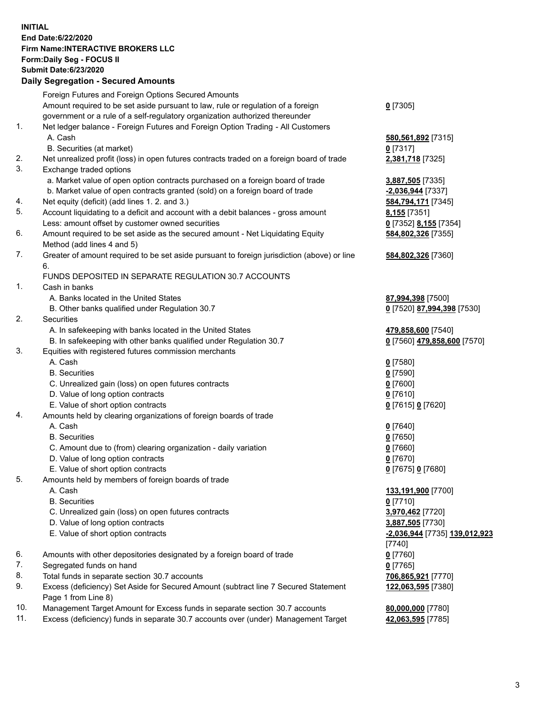**INITIAL End Date:6/22/2020 Firm Name:INTERACTIVE BROKERS LLC Form:Daily Seg - FOCUS II Submit Date:6/23/2020 Daily Segregation - Secured Amounts**

|     | Daily Segregation - Secureu Amounts                                                         |                               |
|-----|---------------------------------------------------------------------------------------------|-------------------------------|
|     | Foreign Futures and Foreign Options Secured Amounts                                         |                               |
|     | Amount required to be set aside pursuant to law, rule or regulation of a foreign            | $0$ [7305]                    |
|     | government or a rule of a self-regulatory organization authorized thereunder                |                               |
| 1.  | Net ledger balance - Foreign Futures and Foreign Option Trading - All Customers             |                               |
|     | A. Cash                                                                                     | 580,561,892 [7315]            |
|     | B. Securities (at market)                                                                   | $0$ [7317]                    |
| 2.  | Net unrealized profit (loss) in open futures contracts traded on a foreign board of trade   | 2,381,718 [7325]              |
| 3.  | Exchange traded options                                                                     |                               |
|     | a. Market value of open option contracts purchased on a foreign board of trade              | 3,887,505 [7335]              |
|     | b. Market value of open contracts granted (sold) on a foreign board of trade                | -2,036,944 [7337]             |
| 4.  | Net equity (deficit) (add lines 1. 2. and 3.)                                               | 584,794,171 [7345]            |
| 5.  | Account liquidating to a deficit and account with a debit balances - gross amount           | 8,155 [7351]                  |
|     | Less: amount offset by customer owned securities                                            | 0 [7352] 8,155 [7354]         |
| 6.  | Amount required to be set aside as the secured amount - Net Liquidating Equity              | 584,802,326 [7355]            |
|     | Method (add lines 4 and 5)                                                                  |                               |
| 7.  | Greater of amount required to be set aside pursuant to foreign jurisdiction (above) or line | 584,802,326 [7360]            |
|     | 6.                                                                                          |                               |
|     | FUNDS DEPOSITED IN SEPARATE REGULATION 30.7 ACCOUNTS                                        |                               |
| 1.  | Cash in banks                                                                               |                               |
|     | A. Banks located in the United States                                                       | 87,994,398 [7500]             |
|     | B. Other banks qualified under Regulation 30.7                                              | 0 [7520] 87,994,398 [7530]    |
| 2.  | <b>Securities</b>                                                                           |                               |
|     | A. In safekeeping with banks located in the United States                                   | 479,858,600 [7540]            |
|     | B. In safekeeping with other banks qualified under Regulation 30.7                          | 0 [7560] 479,858,600 [7570]   |
| 3.  | Equities with registered futures commission merchants                                       |                               |
|     | A. Cash                                                                                     | $0$ [7580]                    |
|     | <b>B.</b> Securities                                                                        | $0$ [7590]                    |
|     | C. Unrealized gain (loss) on open futures contracts                                         | $0$ [7600]                    |
|     | D. Value of long option contracts                                                           | $0$ [7610]                    |
|     | E. Value of short option contracts                                                          | 0 [7615] 0 [7620]             |
| 4.  | Amounts held by clearing organizations of foreign boards of trade                           |                               |
|     | A. Cash                                                                                     | $0$ [7640]                    |
|     | <b>B.</b> Securities                                                                        | $0$ [7650]                    |
|     | C. Amount due to (from) clearing organization - daily variation                             | $0$ [7660]                    |
|     | D. Value of long option contracts                                                           | $0$ [7670]                    |
|     | E. Value of short option contracts                                                          | 0 [7675] 0 [7680]             |
| 5.  | Amounts held by members of foreign boards of trade                                          |                               |
|     | A. Cash                                                                                     | 133,191,900 [7700]            |
|     | <b>B.</b> Securities                                                                        | $0$ [7710]                    |
|     | C. Unrealized gain (loss) on open futures contracts                                         | 3,970,462 [7720]              |
|     | D. Value of long option contracts                                                           | 3,887,505 [7730]              |
|     | E. Value of short option contracts                                                          | -2,036,944 [7735] 139,012,923 |
|     |                                                                                             | $[7740]$                      |
| 6.  | Amounts with other depositories designated by a foreign board of trade                      | $0$ [7760]                    |
| 7.  | Segregated funds on hand                                                                    | $0$ [7765]                    |
| 8.  | Total funds in separate section 30.7 accounts                                               | 706,865,921 [7770]            |
| 9.  | Excess (deficiency) Set Aside for Secured Amount (subtract line 7 Secured Statement         | 122,063,595 [7380]            |
|     | Page 1 from Line 8)                                                                         |                               |
| 10. | Management Target Amount for Excess funds in separate section 30.7 accounts                 | 80,000,000 [7780]             |
| 11. | Excess (deficiency) funds in separate 30.7 accounts over (under) Management Target          | 42,063,595 [7785]             |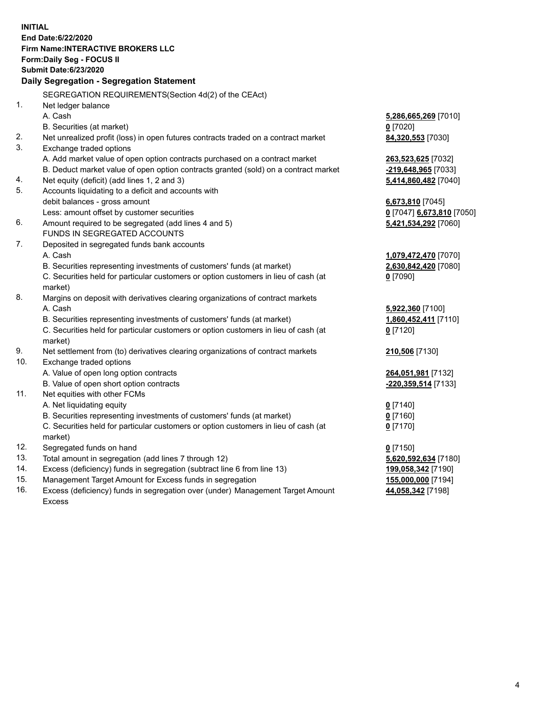**INITIAL End Date:6/22/2020 Firm Name:INTERACTIVE BROKERS LLC Form:Daily Seg - FOCUS II Submit Date:6/23/2020 Daily Segregation - Segregation Statement** SEGREGATION REQUIREMENTS(Section 4d(2) of the CEAct) 1. Net ledger balance A. Cash **5,286,665,269** [7010] B. Securities (at market) **0** [7020] 2. Net unrealized profit (loss) in open futures contracts traded on a contract market **84,320,553** [7030] 3. Exchange traded options A. Add market value of open option contracts purchased on a contract market **263,523,625** [7032] B. Deduct market value of open option contracts granted (sold) on a contract market **-219,648,965** [7033] 4. Net equity (deficit) (add lines 1, 2 and 3) **5,414,860,482** [7040] 5. Accounts liquidating to a deficit and accounts with debit balances - gross amount **6,673,810** [7045] Less: amount offset by customer securities **0** [7047] **6,673,810** [7050] 6. Amount required to be segregated (add lines 4 and 5) **5,421,534,292** [7060] FUNDS IN SEGREGATED ACCOUNTS 7. Deposited in segregated funds bank accounts A. Cash **1,079,472,470** [7070] B. Securities representing investments of customers' funds (at market) **2,630,842,420** [7080] C. Securities held for particular customers or option customers in lieu of cash (at market) **0** [7090] 8. Margins on deposit with derivatives clearing organizations of contract markets A. Cash **5,922,360** [7100] B. Securities representing investments of customers' funds (at market) **1,860,452,411** [7110] C. Securities held for particular customers or option customers in lieu of cash (at market) **0** [7120] 9. Net settlement from (to) derivatives clearing organizations of contract markets **210,506** [7130] 10. Exchange traded options A. Value of open long option contracts **264,051,981** [7132] B. Value of open short option contracts **-220,359,514** [7133] 11. Net equities with other FCMs A. Net liquidating equity **0** [7140] B. Securities representing investments of customers' funds (at market) **0** [7160] C. Securities held for particular customers or option customers in lieu of cash (at market) **0** [7170] 12. Segregated funds on hand **0** [7150] 13. Total amount in segregation (add lines 7 through 12) **5,620,592,634** [7180] 14. Excess (deficiency) funds in segregation (subtract line 6 from line 13) **199,058,342** [7190] 15. Management Target Amount for Excess funds in segregation **155,000,000** [7194]

16. Excess (deficiency) funds in segregation over (under) Management Target Amount Excess

**44,058,342** [7198]